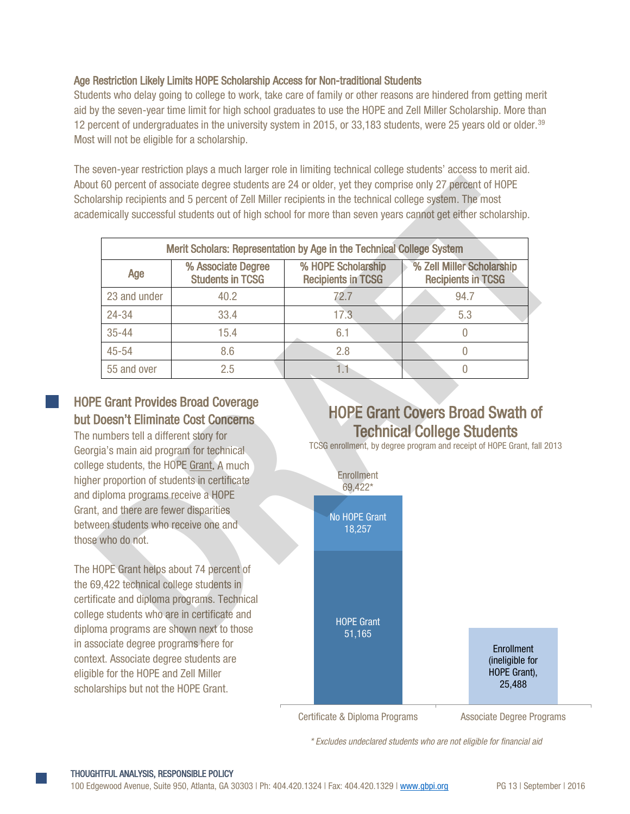#### Age Restriction Likely Limits HOPE Scholarship Access for Non-traditional Students

Students who delay going to college to work, take care of family or other reasons are hindered from getting merit aid by the seven-year time limit for high school graduates to use the HOPE and Zell Miller Scholarship. More than 12 percent of undergraduates in the university system in 2015, or 33,183 students, were 25 years old or older.<sup>[39](#page-19-0)</sup> Most will not be eligible for a scholarship.

The seven-year restriction plays a much larger role in limiting technical college students' access to merit aid. About 60 percent of associate degree students are 24 or older, yet they comprise only 27 percent of HOPE Scholarship recipients and 5 percent of Zell Miller recipients in the technical college system. The most academically successful students out of high school for more than seven years cannot get either scholarship.

|                                                                                           |                                                                                                                                                                                                | Merit Scholars: Representation by Age in the Technical College System |                                                                                                                                                         |  |  |
|-------------------------------------------------------------------------------------------|------------------------------------------------------------------------------------------------------------------------------------------------------------------------------------------------|-----------------------------------------------------------------------|---------------------------------------------------------------------------------------------------------------------------------------------------------|--|--|
| Age                                                                                       | % Associate Degree<br><b>Students in TCSG</b>                                                                                                                                                  | % HOPE Scholarship<br><b>Recipients in TCSG</b>                       | % Zell Miller Scholarship<br><b>Recipients in TCSG</b>                                                                                                  |  |  |
| 23 and under                                                                              | 40.2                                                                                                                                                                                           | 72.7                                                                  | 94.7                                                                                                                                                    |  |  |
| 24-34                                                                                     | 33.4                                                                                                                                                                                           | 17.3                                                                  | 5.3                                                                                                                                                     |  |  |
| $35 - 44$                                                                                 | 15.4                                                                                                                                                                                           | 6.1                                                                   | $\boldsymbol{0}$                                                                                                                                        |  |  |
| $45 - 54$                                                                                 | 8.6                                                                                                                                                                                            | 2.8                                                                   | $\overline{0}$                                                                                                                                          |  |  |
| 55 and over                                                                               | 2.5                                                                                                                                                                                            | 1.1                                                                   | $\overline{0}$                                                                                                                                          |  |  |
|                                                                                           | <b>E Grant Provides Broad Coverage</b><br><b>Doesn't Eliminate Cost Concerns</b>                                                                                                               |                                                                       |                                                                                                                                                         |  |  |
| numbers tell a different story for<br>t, and there are fewer disparities<br>e who do not. | gia's main aid program for technical<br>ge students, the HOPE Grant, A much<br>er proportion of students in certificate<br>diploma programs receive a HOPE<br>een students who receive one and | <b>Enrollment</b><br>69,422*<br><b>No HOPE Grant</b><br>18,257        | <b>HOPE Grant Covers Broad Swath of</b><br><b>Technical College Students</b><br>TCSG enrollment, by degree program and receipt of HOPE Grant, fall 2013 |  |  |

# HOPE Grant Provides Broad Coverage but Doesn't Eliminate Cost Concerns

The numbers tell a different story for Georgia's main aid program for technical college students, the HOPE Grant. A much higher proportion of students in certificate and diploma programs receive a HOPE Grant, and there are fewer disparities between students who receive one and those who do not.

The HOPE Grant helps about 74 percent of the 69,422 technical college students in certificate and diploma programs. Technical college students who are in certificate and diploma programs are shown next to those in associate degree programs here for context. Associate degree students are eligible for the HOPE and Zell Miller scholarships but not the HOPE Grant.

# HOPE Grant Covers Broad Swath of Technical College Students



*\* Excludes undeclared students who are not eligible for financial aid*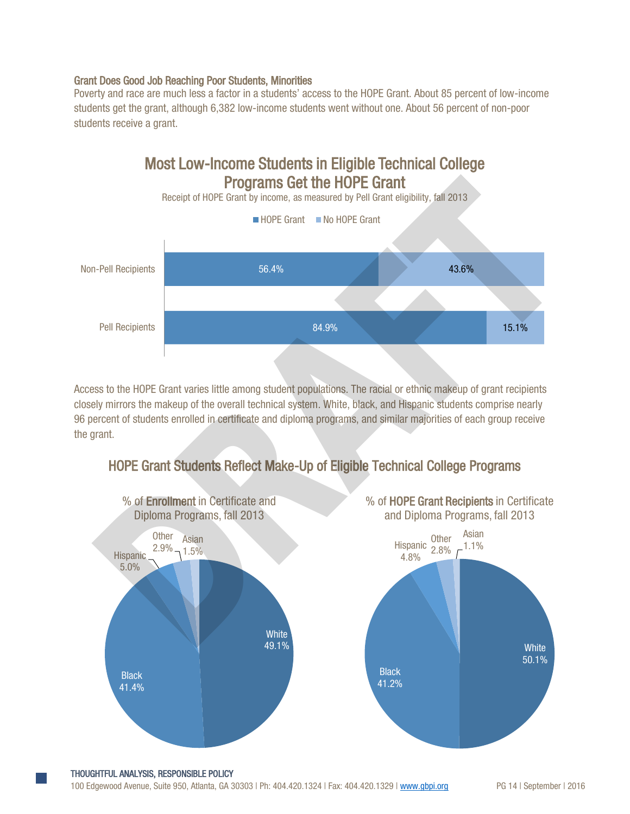#### Grant Does Good Job Reaching Poor Students, Minorities

Poverty and race are much less a factor in a students' access to the HOPE Grant. About 85 percent of low-income students get the grant, although 6,382 low-income students went without one. About 56 percent of non-poor students receive a grant.



Access to the HOPE Grant varies little among student populations. The racial or ethnic makeup of grant recipients closely mirrors the makeup of the overall technical system. White, black, and Hispanic students comprise nearly 96 percent of students enrolled in certificate and diploma programs, and similar majorities of each group receive the grant.



# HOPE Grant Students Reflect Make-Up of Eligible Technical College Programs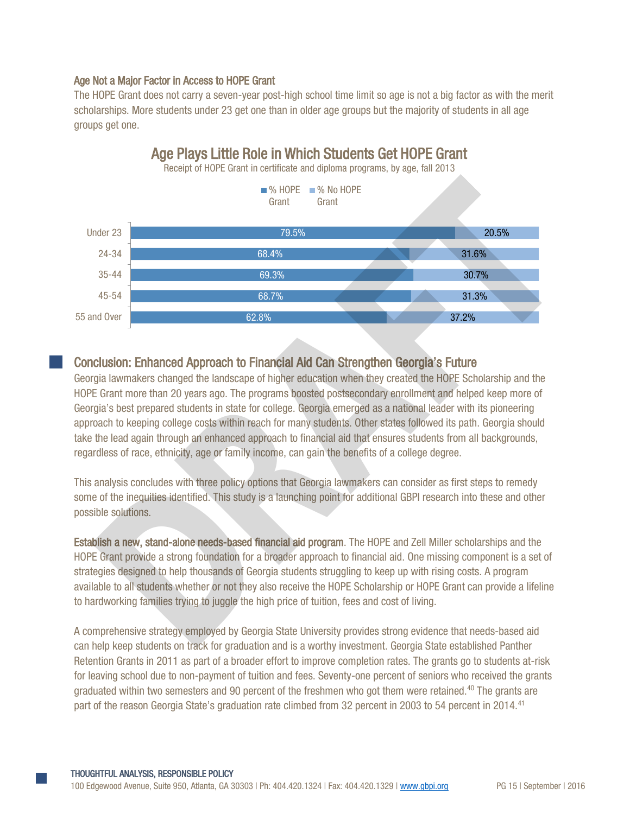### Age Not a Major Factor in Access to HOPE Grant

The HOPE Grant does not carry a seven-year post-high school time limit so age is not a big factor as with the merit scholarships. More students under 23 get one than in older age groups but the majority of students in all age groups get one.



# Conclusion: Enhanced Approach to Financial Aid Can Strengthen Georgia's Future

Georgia lawmakers changed the landscape of higher education when they created the HOPE Scholarship and the HOPE Grant more than 20 years ago. The programs boosted postsecondary enrollment and helped keep more of Georgia's best prepared students in state for college. Georgia emerged as a national leader with its pioneering approach to keeping college costs within reach for many students. Other states followed its path. Georgia should take the lead again through an enhanced approach to financial aid that ensures students from all backgrounds, regardless of race, ethnicity, age or family income, can gain the benefits of a college degree.

This analysis concludes with three policy options that Georgia lawmakers can consider as first steps to remedy some of the inequities identified. This study is a launching point for additional GBPI research into these and other possible solutions.

Establish a new, stand-alone needs-based financial aid program. The HOPE and Zell Miller scholarships and the HOPE Grant provide a strong foundation for a broader approach to financial aid. One missing component is a set of strategies designed to help thousands of Georgia students struggling to keep up with rising costs. A program available to all students whether or not they also receive the HOPE Scholarship or HOPE Grant can provide a lifeline to hardworking families trying to juggle the high price of tuition, fees and cost of living.

A comprehensive strategy employed by Georgia State University provides strong evidence that needs-based aid can help keep students on track for graduation and is a worthy investment. Georgia State established Panther Retention Grants in 2011 as part of a broader effort to improve completion rates. The grants go to students at-risk for leaving school due to non-payment of tuition and fees. Seventy-one percent of seniors who received the grants graduated within two semesters and 90 percent of the freshmen who got them were retained.<sup>40</sup> The grants are part of the reason Georgia State's graduation rate climbed from 32 percent in 2003 to 54 percent in 2014.[41](#page-19-2)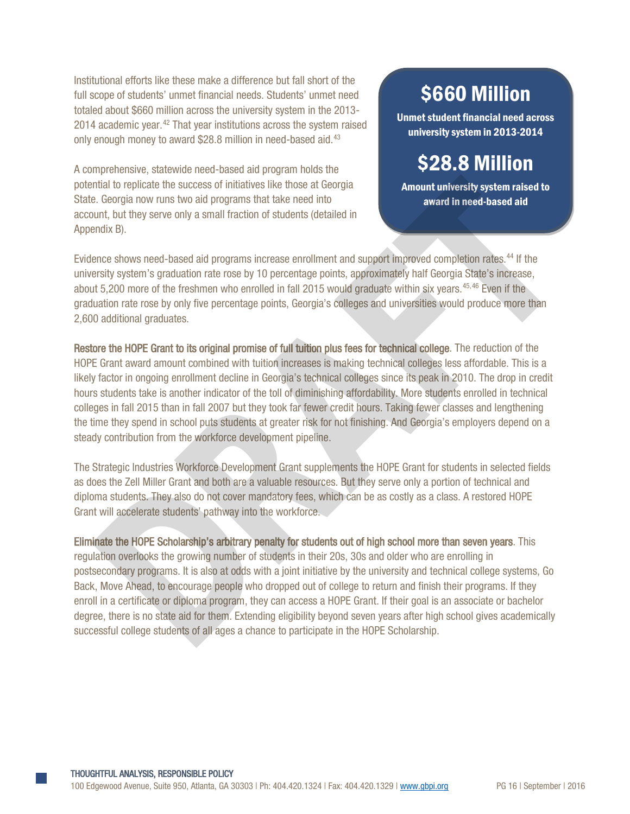Institutional efforts like these make a difference but fall short of the full scope of students' unmet financial needs. Students' unmet need totaled about \$660 million across the university system in the 2013- 2014 academic year.<sup>[42](#page-19-3)</sup> That year institutions across the system raised only enough money to award \$28.8 million in need-based aid.<sup>[43](#page-19-4)</sup>

A comprehensive, statewide need-based aid program holds the potential to replicate the success of initiatives like those at Georgia State. Georgia now runs two aid programs that take need into account, but they serve only a small fraction of students (detailed in Appendix B).

# \$660 Million

Unmet student financial need across university system in 2013-2014

# \$28.8 Million

Amount university system raised to award in need-based aid

Evidence shows need-based aid programs increase enrollment and support improved completion rates.44 If the university system's graduation rate rose by 10 percentage points, approximately half Georgia State's increase, about 5,200 more of the freshmen who enrolled in fall 2015 would graduate within six years.<sup>45,46</sup> Even if the graduation rate rose by only five percentage points, Georgia's colleges and universities would produce more than 2,600 additional graduates.

Restore the HOPE Grant to its original promise of full tuition plus fees for technical college. The reduction of the HOPE Grant award amount combined with tuition increases is making technical colleges less affordable. This is a likely factor in ongoing enrollment decline in Georgia's technical colleges since its peak in 2010. The drop in credit hours students take is another indicator of the toll of diminishing affordability. More students enrolled in technical colleges in fall 2015 than in fall 2007 but they took far fewer credit hours. Taking fewer classes and lengthening the time they spend in school puts students at greater risk for not finishing. And Georgia's employers depend on a steady contribution from the workforce development pipeline. That to replicate the success of initialities as the consent and depred to a consent and the relation of the consent and the programs increase enrollment and support improved completion rates.<sup>44</sup> If the unt, but they serv

The Strategic Industries Workforce Development Grant supplements the HOPE Grant for students in selected fields as does the Zell Miller Grant and both are a valuable resources. But they serve only a portion of technical and diploma students. They also do not cover mandatory fees, which can be as costly as a class. A restored HOPE Grant will accelerate students' pathway into the workforce.

Eliminate the HOPE Scholarship's arbitrary penalty for students out of high school more than seven years. This regulation overlooks the growing number of students in their 20s, 30s and older who are enrolling in postsecondary programs. It is also at odds with a joint initiative by the university and technical college systems, Go Back, Move Ahead, to encourage people who dropped out of college to return and finish their programs. If they enroll in a certificate or diploma program, they can access a HOPE Grant. If their goal is an associate or bachelor degree, there is no state aid for them. Extending eligibility beyond seven years after high school gives academically successful college students of all ages a chance to participate in the HOPE Scholarship.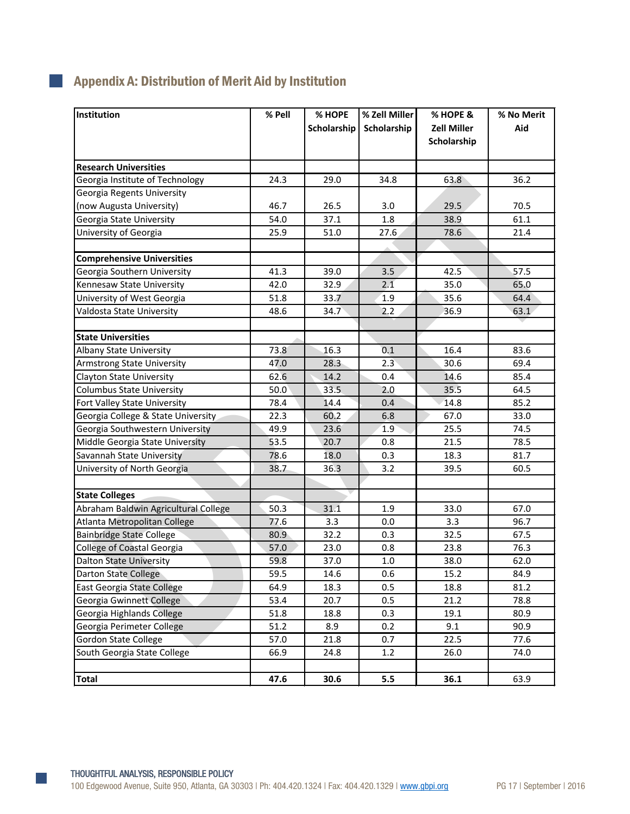| Institution                          | % Pell | % HOPE<br>Scholarship | % Zell Miller<br>Scholarship | % HOPE &<br><b>Zell Miller</b><br>Scholarship | % No Merit<br>Aid |
|--------------------------------------|--------|-----------------------|------------------------------|-----------------------------------------------|-------------------|
| <b>Research Universities</b>         |        |                       |                              |                                               |                   |
| Georgia Institute of Technology      | 24.3   | 29.0                  | 34.8                         | 63.8                                          | 36.2              |
| Georgia Regents University           |        |                       |                              |                                               |                   |
| (now Augusta University)             | 46.7   | 26.5                  | 3.0                          | 29.5                                          | 70.5              |
| Georgia State University             | 54.0   | 37.1                  | 1.8                          | 38.9                                          | 61.1              |
| University of Georgia                | 25.9   | 51.0                  | 27.6                         | 78.6                                          | 21.4              |
| <b>Comprehensive Universities</b>    |        |                       |                              |                                               |                   |
| Georgia Southern University          | 41.3   | 39.0                  | 3.5                          | 42.5                                          | 57.5              |
| Kennesaw State University            | 42.0   | 32.9                  | 2.1                          | 35.0                                          | 65.0              |
| University of West Georgia           | 51.8   | 33.7                  | 1.9                          | 35.6                                          | 64.4              |
| Valdosta State University            | 48.6   | 34.7                  | 2.2                          | 36.9                                          | 63.1              |
| <b>State Universities</b>            |        |                       |                              |                                               |                   |
| Albany State University              | 73.8   | 16.3                  | 0.1                          | 16.4                                          | 83.6              |
| <b>Armstrong State University</b>    | 47.0   | 28.3                  | 2.3                          | 30.6                                          | 69.4              |
| <b>Clayton State University</b>      | 62.6   | 14.2                  | 0.4                          | 14.6                                          | 85.4              |
| Columbus State University            | 50.0   | 33.5                  | 2.0                          | 35.5                                          | 64.5              |
| Fort Valley State University         | 78.4   | 14.4                  | 0.4                          | 14.8                                          | 85.2              |
| Georgia College & State University   | 22.3   | 60.2                  | 6.8                          | 67.0                                          | 33.0              |
| Georgia Southwestern University      | 49.9   | 23.6                  | 1.9                          | 25.5                                          | 74.5              |
| Middle Georgia State University      | 53.5   | 20.7                  | 0.8                          | 21.5                                          | 78.5              |
| Savannah State University            | 78.6   | 18.0                  | 0.3                          | 18.3                                          | 81.7              |
| University of North Georgia          | 38.7   | 36.3                  | 3.2                          | 39.5                                          | 60.5              |
| <b>State Colleges</b>                |        |                       |                              |                                               |                   |
| Abraham Baldwin Agricultural College | 50.3   | 31.1                  | 1.9                          | 33.0                                          | 67.0              |
| Atlanta Metropolitan College         | 77.6   | 3.3                   | 0.0                          | 3.3                                           | 96.7              |
| <b>Bainbridge State College</b>      | 80.9   | 32.2                  | 0.3                          | 32.5                                          | 67.5              |
| College of Coastal Georgia           | 57.0   | 23.0                  | 0.8                          | 23.8                                          | 76.3              |
| <b>Dalton State University</b>       | 59.8   | 37.0                  | 1.0                          | 38.0                                          | 62.0              |
| Darton State College                 | 59.5   | 14.6                  | 0.6                          | 15.2                                          | 84.9              |
| East Georgia State College           | 64.9   | 18.3                  | 0.5                          | 18.8                                          | 81.2              |
| Georgia Gwinnett College             | 53.4   | 20.7                  | 0.5                          | 21.2                                          | 78.8              |
| Georgia Highlands College            | 51.8   | 18.8                  | 0.3                          | 19.1                                          | 80.9              |
| Georgia Perimeter College            | 51.2   | 8.9                   | 0.2                          | 9.1                                           | 90.9              |
| Gordon State College                 | 57.0   | 21.8                  | 0.7                          | 22.5                                          | 77.6              |
| South Georgia State College          | 66.9   | 24.8                  | 1.2                          | 26.0                                          | 74.0              |
| <b>Total</b>                         | 47.6   | 30.6                  | 5.5                          | 36.1                                          | 63.9              |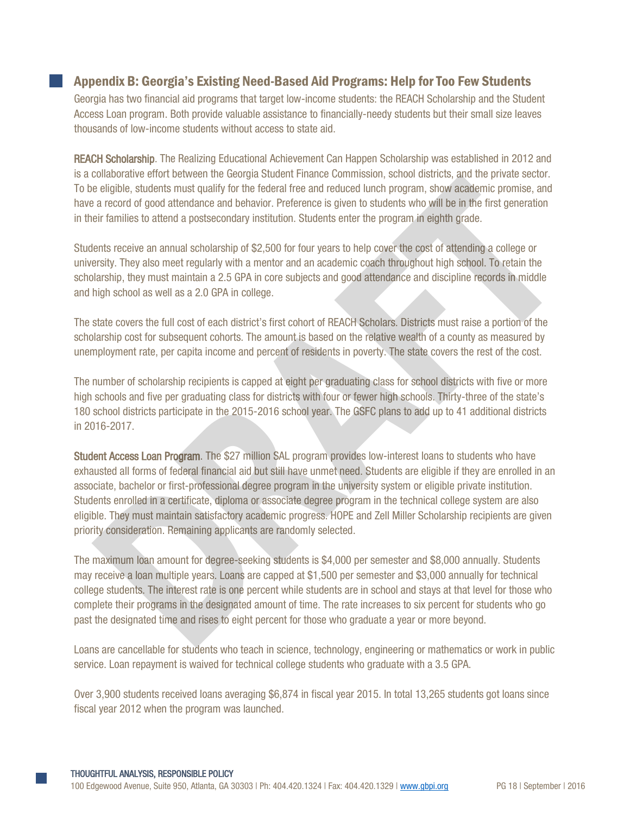## Appendix B: Georgia's Existing Need-Based Aid Programs: Help for Too Few Students

Georgia has two financial aid programs that target low-income students: the REACH Scholarship and the Student Access Loan program. Both provide valuable assistance to financially-needy students but their small size leaves thousands of low-income students without access to state aid.

REACH Scholarship. The Realizing Educational Achievement Can Happen Scholarship was established in 2012 and is a collaborative effort between the Georgia Student Finance Commission, school districts, and the private sector. To be eligible, students must qualify for the federal free and reduced lunch program, show academic promise, and have a record of good attendance and behavior. Preference is given to students who will be in the first generation in their families to attend a postsecondary institution. Students enter the program in eighth grade.

Students receive an annual scholarship of \$2,500 for four years to help cover the cost of attending a college or university. They also meet regularly with a mentor and an academic coach throughout high school. To retain the scholarship, they must maintain a 2.5 GPA in core subjects and good attendance and discipline records in middle and high school as well as a 2.0 GPA in college.

The state covers the full cost of each district's first cohort of REACH Scholars. Districts must raise a portion of the scholarship cost for subsequent cohorts. The amount is based on the relative wealth of a county as measured by unemployment rate, per capita income and percent of residents in poverty. The state covers the rest of the cost.

The number of scholarship recipients is capped at eight per graduating class for school districts with five or more high schools and five per graduating class for districts with four or fewer high schools. Thirty-three of the state's 180 school districts participate in the 2015-2016 school year. The GSFC plans to add up to 41 additional districts in 2016-2017.

Student Access Loan Program. The \$27 million SAL program provides low-interest loans to students who have exhausted all forms of federal financial aid but still have unmet need. Students are eligible if they are enrolled in an associate, bachelor or first-professional degree program in the university system or eligible private institution. Students enrolled in a certificate, diploma or associate degree program in the technical college system are also eligible. They must maintain satisfactory academic progress. HOPE and Zell Miller Scholarship recipients are given priority consideration. Remaining applicants are randomly selected. e eligible, students must quality for the federal free and reduced unch program, show adademic promise, and<br>a record of good attendance and behavior. Preference is given to students who will be in this fit seneration<br>is if

The maximum loan amount for degree-seeking students is \$4,000 per semester and \$8,000 annually. Students may receive a loan multiple years. Loans are capped at \$1,500 per semester and \$3,000 annually for technical college students. The interest rate is one percent while students are in school and stays at that level for those who complete their programs in the designated amount of time. The rate increases to six percent for students who go past the designated time and rises to eight percent for those who graduate a year or more beyond.

Loans are cancellable for students who teach in science, technology, engineering or mathematics or work in public service. Loan repayment is waived for technical college students who graduate with a 3.5 GPA.

Over 3,900 students received loans averaging \$6,874 in fiscal year 2015. In total 13,265 students got loans since fiscal year 2012 when the program was launched.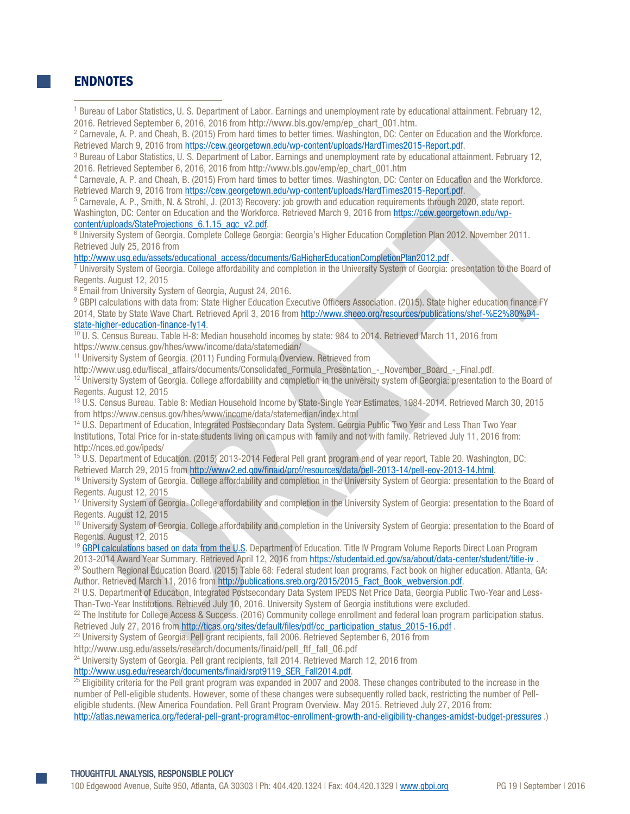## **ENDNOTES**

 $\overline{a}$ 

- <sup>1</sup> Bureau of Labor Statistics, U. S. Department of Labor. Earnings and unemployment rate by educational attainment. February 12, 2016. Retrieved September 6, 2016, 2016 from http://www.bls.gov/emp/ep\_chart\_001.htm.<br><sup>2</sup> Carnevale, A. P. and Cheah, B. (2015) From hard times to better times. Washington, DC: Center on Education and the Workforce.
- Retrieved March 9, 2016 from [https://cew.georgetown.edu/wp-content/uploads/HardTimes2015-Report.pdf.](https://cew.georgetown.edu/wp-content/uploads/HardTimes2015-Report.pdf)<br><sup>3</sup> Bureau of Labor Statistics, U. S. Department of Labor. Earnings and unemployment rate by educational attainment. Febr

2016. Retrieved September 6, 2016, 2016 from http://www.bls.gov/emp/ep\_chart\_001.htm

<sup>4</sup> Carnevale, A. P. and Cheah, B. (2015) From hard times to better times. Washington, DC: Center on Education and the Workforce.

Retrieved March 9, 2016 from https://cew.georgetown.edu/wp-content/uploads/HardTimes2015-Report.pdf.<br><sup>5</sup> Carnevale, A. P., Smith, N. & Strohl, J. (2013) Recovery: job growth and education requirements through 2020, state r Washington, DC: Center on Education and the Workforce. Retrieved March 9, 2016 from https://cew.georgetown.edu/wp-

content/uploads/StateProjections\_6.1.15\_agc\_v2.pdf.<br><sup>6</sup> University System of Georgia. Complete College Georgia: Georgia's Higher Education Completion Plan 2012. November 2011. Retrieved July 25, 2016 from

 $\frac{http://www.usg.edu/assets/educational_access/documents/GalligherEducationCompletionPlan2012.pdf}{University System of Georgia. College affordability and completion in the University System of Georgia: presentation to the Board of$ Regents. August 12, 2015<br><sup>8</sup> Email from University System of Georgia, August 24, 2016.

<sup>9</sup> GBPI calculations with data from: State Higher Education Executive Officers Association. (2015). State higher education finance FY 2014, State by State Wave Chart. Retrieved April 3, 2016 from http://www.sheeo.org/resources/publications/shef-%E2%80%94-

[state-higher-education-finance-fy14.](http://www.sheeo.org/resources/publications/shef-%E2%80%94-state-higher-education-finance-fy14)<br><sup>10</sup> U. S. Census Bureau. Table H-8: Median household incomes by state: 984 to 2014. Retrieved March 11, 2016 from https://www.census.gov/hhes/www/income/data/statemedian/

<sup>11</sup> University System of Georgia. (2011) Funding Formula Overview. Retrieved from

http://www.usg.edu/fiscal\_affairs/documents/Consolidated\_Formula\_Presentation\_-\_November\_Board\_-\_Final.pdf.

<sup>12</sup> University System of Georgia. College affordability and completion in the university system of Georgia: presentation to the Board of Regents. August 12, 2015

<sup>13</sup> U.S. Census Bureau. Table 8: Median Household Income by State-Single Year Estimates, 1984-2014. Retrieved March 30, 2015 from https://www.census.gov/hhes/www/income/data/statemedian/index.html

<sup>14</sup> U.S. Department of Education, Integrated Postsecondary Data System. Georgia Public Two Year and Less Than Two Year Institutions, Total Price for in-state students living on campus with family and not with family. Retrieved July 11, 2016 from: http://nces.ed.gov/ipeds/

<sup>15</sup> U.S. Department of Education. (2015) 2013-2014 Federal Pell grant program end of year report, Table 20. Washington, DC:

Retrieved March 29, 2015 from http://www2.ed.gov/finaid/prof/resources/data/pell-2013-14/pell-eoy-2013-14.html.<br><sup>16</sup> University System of Georgia. College affordability and completion in the University System of Georgia: p Regents. August 12, 2015

<sup>17</sup> University System of Georgia. College affordability and completion in the University System of Georgia: presentation to the Board of Regents. August 12, 2015

<sup>18</sup> University System of Georgia. College affordability and completion in the University System of Georgia: presentation to the Board of Regents. August 12, 2015

<sup>19</sup> GBPI calculations based on data from the U.S. Department of Education. Title IV Program Volume Reports Direct Loan Program<br>2013-2014 Award Year Summary. Retrieved April 12, 2016 from https://studentaid.ed.gov/sa/about <sup>20</sup> Southern Regional Education Board. (2015) Table 68: Federal student loan programs, Fact book on higher education. Atlanta, GA: event A.[F](http://www.sheeo.org/resources/publications/shef-%E2%80%94-state-higher-education-finance-fy14). Pain Universida-Bristopher Works (2013) From the three in the control of the control of the second and the window of the second and the second and the second and the second and the second and the second and the

Author. Retrieved March 11, 2016 from http://publications.sreb.org/2015/2015 Fact Book webversion.pdf.<br><sup>21</sup> U.S. Department of Education, Integrated Postsecondary Data System IPEDS Net Price Data, Georgia Public Two-Year a

Than-Two-Year Institutions. Retrieved July 10, 2016. University System of Georgia institutions were excluded.

 $^{22}$  The Institute for College Access & Success. (2016) Community college enrollment and federal loan program participation status. Retrieved July 27, 2016 from http://ticas.org/sites/default/files/pdf/cc\_participation\_status\_2015-16.pdf . <sup>23</sup> University System of Georgia. Pell grant recipients, fall 2006. Retrieved September 6, 2016 from

http://www.usg.edu/assets/research/documents/finaid/pell\_ftf\_fall\_06.pdf

<sup>24</sup> University System of Georgia. Pell grant recipients, fall 2014. Retrieved March 12, 2016 from

[http://www.usg.edu/research/documents/finaid/srpt9119\\_SER\\_Fall2014.pdf.](http://www.usg.edu/research/documents/finaid/srpt9119_SER_Fall2014.pdf)<br><sup>25</sup> Eligibility criteria for the Pell grant program was expanded in 2007 and 2008. These changes contributed to the increase in the number of Pell-eligible students. However, some of these changes were subsequently rolled back, restricting the number of Pelleligible students. (New America Foundation. Pell Grant Program Overview. May 2015. Retrieved July 27, 2016 from: <http://atlas.newamerica.org/federal-pell-grant-program#toc-enrollment-growth-and-eligibility-changes-amidst-budget-pressures> .)